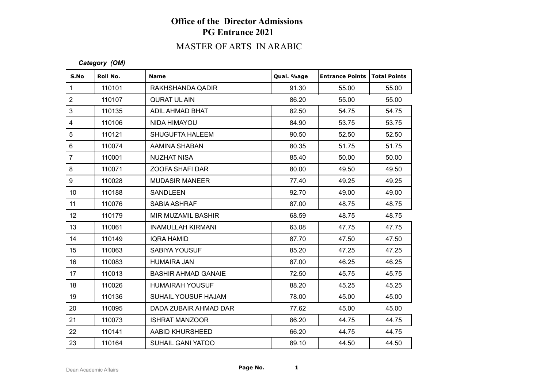# MASTER OF ARTS IN ARABIC

### *Category (OM)*

| S.No             | Roll No. | <b>Name</b>                | Qual. %age | <b>Entrance Points   Total Points</b> |       |
|------------------|----------|----------------------------|------------|---------------------------------------|-------|
| $\mathbf{1}$     | 110101   | RAKHSHANDA QADIR           | 91.30      | 55.00                                 | 55.00 |
| $\overline{2}$   | 110107   | <b>QURAT UL AIN</b>        | 86.20      | 55.00                                 | 55.00 |
| 3                | 110135   | ADIL AHMAD BHAT            | 82.50      | 54.75                                 | 54.75 |
| $\overline{4}$   | 110106   | NIDA HIMAYOU               | 84.90      | 53.75                                 | 53.75 |
| 5                | 110121   | <b>SHUGUFTA HALEEM</b>     | 90.50      | 52.50                                 | 52.50 |
| $6\phantom{1}$   | 110074   | AAMINA SHABAN              | 80.35      | 51.75                                 | 51.75 |
| $\overline{7}$   | 110001   | <b>NUZHAT NISA</b>         | 85.40      | 50.00                                 | 50.00 |
| 8                | 110071   | ZOOFA SHAFI DAR            | 80.00      | 49.50                                 | 49.50 |
| 9                | 110028   | <b>MUDASIR MANEER</b>      | 77.40      | 49.25                                 | 49.25 |
| 10 <sup>°</sup>  | 110188   | SANDLEEN                   | 92.70      | 49.00                                 | 49.00 |
| 11               | 110076   | SABIA ASHRAF               | 87.00      | 48.75                                 | 48.75 |
| 12 <sup>°</sup>  | 110179   | MIR MUZAMIL BASHIR         | 68.59      | 48.75                                 | 48.75 |
| 13               | 110061   | <b>INAMULLAH KIRMANI</b>   | 63.08      | 47.75                                 | 47.75 |
| 14               | 110149   | <b>IQRA HAMID</b>          | 87.70      | 47.50                                 | 47.50 |
| 15 <sub>15</sub> | 110063   | <b>SABIYA YOUSUF</b>       | 85.20      | 47.25                                 | 47.25 |
| 16               | 110083   | <b>HUMAIRA JAN</b>         | 87.00      | 46.25                                 | 46.25 |
| 17               | 110013   | <b>BASHIR AHMAD GANAIE</b> | 72.50      | 45.75                                 | 45.75 |
| 18               | 110026   | <b>HUMAIRAH YOUSUF</b>     | 88.20      | 45.25                                 | 45.25 |
| 19               | 110136   | <b>SUHAIL YOUSUF HAJAM</b> | 78.00      | 45.00                                 | 45.00 |
| 20               | 110095   | DADA ZUBAIR AHMAD DAR      | 77.62      | 45.00                                 | 45.00 |
| 21               | 110073   | <b>ISHRAT MANZOOR</b>      | 86.20      | 44.75                                 | 44.75 |
| 22               | 110141   | AABID KHURSHEED            | 66.20      | 44.75                                 | 44.75 |
| 23               | 110164   | <b>SUHAIL GANI YATOO</b>   | 89.10      | 44.50                                 | 44.50 |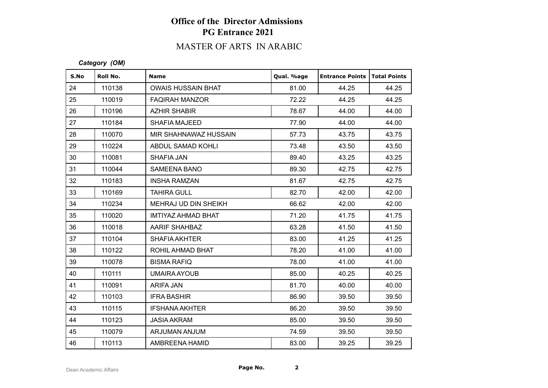# MASTER OF ARTS IN ARABIC

### *Category (OM)*

| S.No | Roll No. | <b>Name</b>               | Qual. %age | <b>Entrance Points</b> | <b>Total Points</b> |
|------|----------|---------------------------|------------|------------------------|---------------------|
| 24   | 110138   | <b>OWAIS HUSSAIN BHAT</b> | 81.00      | 44.25                  | 44.25               |
| 25   | 110019   | <b>FAQIRAH MANZOR</b>     | 72.22      | 44.25                  | 44.25               |
| 26   | 110196   | <b>AZHIR SHABIR</b>       | 78.67      | 44.00                  | 44.00               |
| 27   | 110184   | <b>SHAFIA MAJEED</b>      | 77.90      | 44.00                  | 44.00               |
| 28   | 110070   | MIR SHAHNAWAZ HUSSAIN     | 57.73      | 43.75                  | 43.75               |
| 29   | 110224   | ABDUL SAMAD KOHLI         | 73.48      | 43.50                  | 43.50               |
| 30   | 110081   | SHAFIA JAN                | 89.40      | 43.25                  | 43.25               |
| 31   | 110044   | <b>SAMEENA BANO</b>       | 89.30      | 42.75                  | 42.75               |
| 32   | 110183   | <b>INSHA RAMZAN</b>       | 81.67      | 42.75                  | 42.75               |
| 33   | 110169   | <b>TAHIRA GULL</b>        | 82.70      | 42.00                  | 42.00               |
| 34   | 110234   | MEHRAJ UD DIN SHEIKH      | 66.62      | 42.00                  | 42.00               |
| 35   | 110020   | IMTIYAZ AHMAD BHAT        | 71.20      | 41.75                  | 41.75               |
| 36   | 110018   | <b>AARIF SHAHBAZ</b>      | 63.28      | 41.50                  | 41.50               |
| 37   | 110104   | <b>SHAFIA AKHTER</b>      | 83.00      | 41.25                  | 41.25               |
| 38   | 110122   | ROHIL AHMAD BHAT          | 78.20      | 41.00                  | 41.00               |
| 39   | 110078   | <b>BISMA RAFIQ</b>        | 78.00      | 41.00                  | 41.00               |
| 40   | 110111   | <b>UMAIRA AYOUB</b>       | 85.00      | 40.25                  | 40.25               |
| 41   | 110091   | ARIFA JAN                 | 81.70      | 40.00                  | 40.00               |
| 42   | 110103   | <b>IFRA BASHIR</b>        | 86.90      | 39.50                  | 39.50               |
| 43   | 110115   | <b>IFSHANA AKHTER</b>     | 86.20      | 39.50                  | 39.50               |
| 44   | 110123   | <b>JASIA AKRAM</b>        | 85.00      | 39.50                  | 39.50               |
| 45   | 110079   | ARJUMAN ANJUM             | 74.59      | 39.50                  | 39.50               |
| 46   | 110113   | AMBREENA HAMID            | 83.00      | 39.25                  | 39.25               |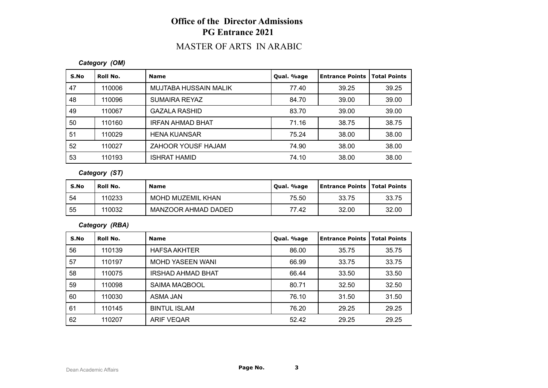## MASTER OF ARTS IN ARABIC

### *Category (OM)*

| S.No | Roll No. | <b>Name</b>             | Qual. %age | <b>Entrance Points</b> | <b>Total Points</b> |
|------|----------|-------------------------|------------|------------------------|---------------------|
| 47   | 110006   | MUJTABA HUSSAIN MALIK   | 77.40      | 39.25                  | 39.25               |
| 48   | 110096   | SUMAIRA REYAZ           | 84.70      | 39.00                  | 39.00               |
| 49   | 110067   | <b>GAZALA RASHID</b>    | 83.70      | 39.00                  | 39.00               |
| 50   | 110160   | <b>IRFAN AHMAD BHAT</b> | 71.16      | 38.75                  | 38.75               |
| 51   | 110029   | <b>HENA KUANSAR</b>     | 75.24      | 38.00                  | 38.00               |
| 52   | 110027   | ZAHOOR YOUSF HAJAM      | 74.90      | 38.00                  | 38.00               |
| 53   | 110193   | <b>ISHRAT HAMID</b>     | 74.10      | 38.00                  | 38.00               |

### *Category (ST)*

| S.No | Roll No. | <b>Name</b>         | Qual. %age | <b>Entrance Points   Total Points</b> |       |
|------|----------|---------------------|------------|---------------------------------------|-------|
| 54   | 110233   | MOHD MUZEMIL KHAN   | 75.50      | 33.75                                 | 33.75 |
| 55   | 110032   | MANZOOR AHMAD DADED | 77.42      | 32.00                                 | 32.00 |

### *Category (RBA)*

| S.No | Roll No. | <b>Name</b>              | Qual. %age | <b>Entrance Points</b> | <b>Total Points</b> |
|------|----------|--------------------------|------------|------------------------|---------------------|
| 56   | 110139   | <b>HAFSA AKHTER</b>      | 86.00      | 35.75                  | 35.75               |
| 57   | 110197   | <b>MOHD YASEEN WANI</b>  | 66.99      | 33.75                  | 33.75               |
| 58   | 110075   | <b>IRSHAD AHMAD BHAT</b> | 66.44      | 33.50                  | 33.50               |
| 59   | 110098   | SAIMA MAQBOOL            | 80.71      | 32.50                  | 32.50               |
| 60   | 110030   | ASMA JAN                 | 76.10      | 31.50                  | 31.50               |
| 61   | 110145   | <b>BINTUL ISLAM</b>      | 76.20      | 29.25                  | 29.25               |
| 62   | 110207   | <b>ARIF VEQAR</b>        | 52.42      | 29.25                  | 29.25               |